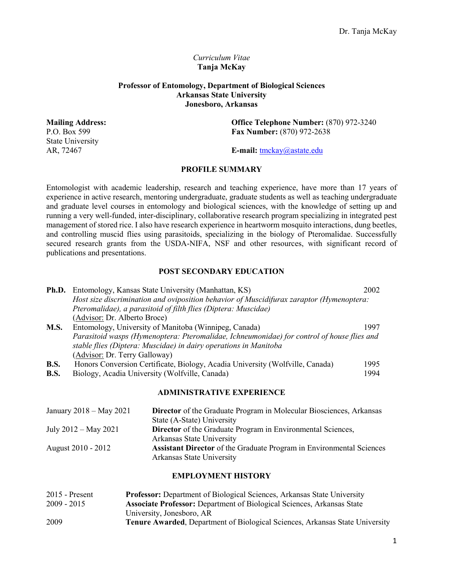# *Curriculum Vitae* **Tanja McKay**

# **Professor of Entomology, Department of Biological Sciences Arkansas State University Jonesboro, Arkansas**

State University

**Mailing Address: Office Telephone Number:** (870) 972-3240<br>P.O. Box 599 **Fax Number:** (870) 972-2638 **Fax Number:** (870) 972-2638

AR, 72467 **E-mail:** [tmckay@astate.edu](mailto:tmckay@astate.edu)

# **PROFILE SUMMARY**

Entomologist with academic leadership, research and teaching experience, have more than 17 years of experience in active research, mentoring undergraduate, graduate students as well as teaching undergraduate and graduate level courses in entomology and biological sciences, with the knowledge of setting up and running a very well-funded, inter-disciplinary, collaborative research program specializing in integrated pest management of stored rice. I also have research experience in heartworm mosquito interactions, dung beetles, and controlling muscid flies using parasitoids, specializing in the biology of Pteromalidae. Successfully secured research grants from the USDA-NIFA, NSF and other resources, with significant record of publications and presentations.

# **POST SECONDARY EDUCATION**

|             | <b>Ph.D.</b> Entomology, Kansas State University (Manhattan, KS)                           | 2002 |  |
|-------------|--------------------------------------------------------------------------------------------|------|--|
|             | Host size discrimination and oviposition behavior of Muscidifurax zaraptor (Hymenoptera:   |      |  |
|             | Pteromalidae), a parasitoid of filth flies (Diptera: Muscidae)                             |      |  |
|             | (Advisor: Dr. Alberto Broce)                                                               |      |  |
| <b>M.S.</b> | Entomology, University of Manitoba (Winnipeg, Canada)                                      | 1997 |  |
|             | Parasitoid wasps (Hymenoptera: Pteromalidae, Ichneumonidae) for control of house flies and |      |  |
|             | stable flies (Diptera: Muscidae) in dairy operations in Manitoba                           |      |  |
|             | (Advisor: Dr. Terry Galloway)                                                              |      |  |
| <b>B.S.</b> | Honors Conversion Certificate, Biology, Acadia University (Wolfville, Canada)              | 1995 |  |
| <b>B.S.</b> | Biology, Acadia University (Wolfville, Canada)                                             | 1994 |  |
|             |                                                                                            |      |  |

#### **ADMINISTRATIVE EXPERIENCE**

| January $2018 -$ May $2021$ | <b>Director</b> of the Graduate Program in Molecular Biosciences, Arkansas  |
|-----------------------------|-----------------------------------------------------------------------------|
|                             | State (A-State) University                                                  |
| July $2012 - May 2021$      | <b>Director</b> of the Graduate Program in Environmental Sciences,          |
|                             | Arkansas State University                                                   |
| August 2010 - 2012          | <b>Assistant Director</b> of the Graduate Program in Environmental Sciences |
|                             | Arkansas State University                                                   |

#### **EMPLOYMENT HISTORY**

| $2015$ - Present | <b>Professor:</b> Department of Biological Sciences, Arkansas State University      |
|------------------|-------------------------------------------------------------------------------------|
| $2009 - 2015$    | <b>Associate Professor:</b> Department of Biological Sciences, Arkansas State       |
|                  | University, Jonesboro, AR                                                           |
| 2009             | <b>Tenure Awarded, Department of Biological Sciences, Arkansas State University</b> |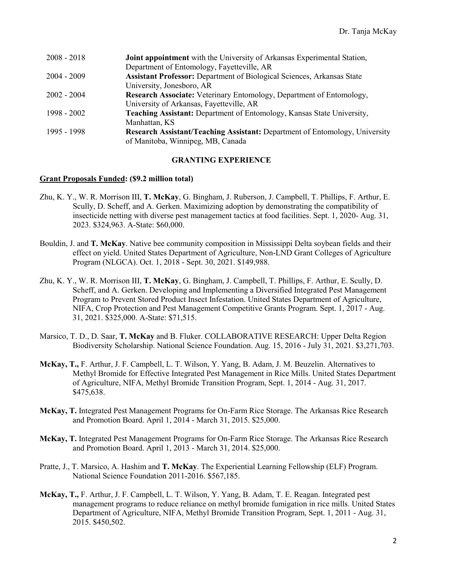| $2008 - 2018$ | <b>Joint appointment</b> with the University of Arkansas Experimental Station,     |
|---------------|------------------------------------------------------------------------------------|
|               | Department of Entomology, Fayetteville, AR                                         |
| $2004 - 2009$ | <b>Assistant Professor:</b> Department of Biological Sciences, Arkansas State      |
|               | University, Jonesboro, AR                                                          |
| $2002 - 2004$ | Research Associate: Veterinary Entomology, Department of Entomology,               |
|               | University of Arkansas, Fayetteville, AR                                           |
| 1998 - 2002   | Teaching Assistant: Department of Entomology, Kansas State University,             |
|               | Manhattan, KS                                                                      |
| 1995 - 1998   | <b>Research Assistant/Teaching Assistant: Department of Entomology, University</b> |
|               | of Manitoba, Winnipeg, MB, Canada                                                  |

# **GRANTING EXPERIENCE**

## **Grant Proposals Funded: (\$9.2 million total)**

- Zhu, K. Y., W. R. Morrison III, **T. McKay**, G. Bingham, J. Ruberson, J. Campbell, T. Phillips, F. Arthur, E. Scully, D. Scheff, and A. Gerken. Maximizing adoption by demonstrating the compatibility of insecticide netting with diverse pest management tactics at food facilities. Sept. 1, 2020- Aug. 31, 2023. \$324,963. A-State: \$60,000.
- Bouldin, J. and **T. McKay**. Native bee community composition in Mississippi Delta soybean fields and their effect on yield. United States Department of Agriculture, Non-LND Grant Colleges of Agriculture Program (NLGCA). Oct. 1, 2018 - Sept. 30, 2021. \$149,988.
- Zhu, K. Y., W. R. Morrison III, **T. McKay**, G. Bingham, J. Campbell, T. Phillips, F. Arthur, E. Scully, D. Scheff, and A. Gerken. Developing and Implementing a Diversified Integrated Pest Management Program to Prevent Stored Product Insect Infestation. United States Department of Agriculture, NIFA, Crop Protection and Pest Management Competitive Grants Program. Sept. 1, 2017 - Aug. 31, 2021. \$325,000. A-State: \$71,515.
- Marsico, T. D., D. Saar, **T. McKay** and B. Fluker. COLLABORATIVE RESEARCH: Upper Delta Region Biodiversity Scholarship. National Science Foundation. Aug. 15, 2016 - July 31, 2021. \$3,271,703.
- **McKay, T.,** F. Arthur, J. F. Campbell, L. T. Wilson, Y. Yang, B. Adam, J. M. Beuzelin. Alternatives to Methyl Bromide for Effective Integrated Pest Management in Rice Mills. United States Department of Agriculture, NIFA, Methyl Bromide Transition Program, Sept. 1, 2014 - Aug. 31, 2017. \$475,638.
- **McKay, T.** Integrated Pest Management Programs for On-Farm Rice Storage. The Arkansas Rice Research and Promotion Board. April 1, 2014 - March 31, 2015. \$25,000.
- **McKay, T.** Integrated Pest Management Programs for On-Farm Rice Storage. The Arkansas Rice Research and Promotion Board. April 1, 2013 - March 31, 2014. \$25,000.
- Pratte, J., T. Marsico, A. Hashim and **T. McKay**. The Experiential Learning Fellowship (ELF) Program. National Science Foundation 2011-2016. \$567,185.
- **McKay, T.,** F. Arthur, J. F. Campbell, L. T. Wilson, Y. Yang, B. Adam, T. E. Reagan. Integrated pest management programs to reduce reliance on methyl bromide fumigation in rice mills. United States Department of Agriculture, NIFA, Methyl Bromide Transition Program, Sept. 1, 2011 - Aug. 31, 2015. \$450,502.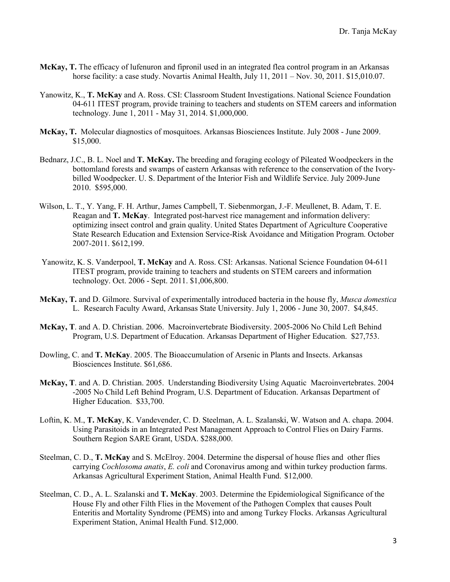- **McKay, T.** The efficacy of lufenuron and fipronil used in an integrated flea control program in an Arkansas horse facility: a case study. Novartis Animal Health, July 11, 2011 – Nov. 30, 2011. \$15,010.07.
- Yanowitz, K., **T. McKay** and A. Ross. CSI: Classroom Student Investigations. National Science Foundation 04-611 ITEST program, provide training to teachers and students on STEM careers and information technology. June 1, 2011 - May 31, 2014. \$1,000,000.
- **McKay, T.** Molecular diagnostics of mosquitoes. Arkansas Biosciences Institute. July 2008 June 2009. \$15,000.
- Bednarz, J.C., B. L. Noel and **T. McKay.** The breeding and foraging ecology of Pileated Woodpeckers in the bottomland forests and swamps of eastern Arkansas with reference to the conservation of the Ivorybilled Woodpecker. U. S. Department of the Interior Fish and Wildlife Service. July 2009-June 2010. \$595,000.
- Wilson, L. T., Y. Yang, F. H. Arthur, James Campbell, T. Siebenmorgan, J.-F. Meullenet, B. Adam, T. E. Reagan and **T. McKay**. Integrated post-harvest rice management and information delivery: optimizing insect control and grain quality. United States Department of Agriculture Cooperative State Research Education and Extension Service-Risk Avoidance and Mitigation Program. October 2007-2011. \$612,199.
- Yanowitz, K. S. Vanderpool, **T. McKay** and A. Ross. CSI: Arkansas. National Science Foundation 04-611 ITEST program, provide training to teachers and students on STEM careers and information technology. Oct. 2006 - Sept. 2011. \$1,006,800.
- **McKay, T.** and D. Gilmore. Survival of experimentally introduced bacteria in the house fly, *Musca domestica* L. Research Faculty Award, Arkansas State University. July 1, 2006 - June 30, 2007. \$4,845.
- **McKay, T**. and A. D. Christian. 2006. Macroinvertebrate Biodiversity. 2005-2006 No Child Left Behind Program, U.S. Department of Education. Arkansas Department of Higher Education. \$27,753.
- Dowling, C. and **T. McKay**. 2005. The Bioaccumulation of Arsenic in Plants and Insects. Arkansas Biosciences Institute. \$61,686.
- **McKay, T**. and A. D. Christian. 2005. Understanding Biodiversity Using Aquatic Macroinvertebrates. 2004 -2005 No Child Left Behind Program, U.S. Department of Education. Arkansas Department of Higher Education. \$33,700.
- Loftin, K. M., **T. McKay**, K. Vandevender, C. D. Steelman, A. L. Szalanski, W. Watson and A. chapa. 2004. Using Parasitoids in an Integrated Pest Management Approach to Control Flies on Dairy Farms. Southern Region SARE Grant, USDA. \$288,000.
- Steelman, C. D., **T. McKay** and S. McElroy. 2004. Determine the dispersal of house flies and other flies carrying *Cochlosoma anatis*, *E. coli* and Coronavirus among and within turkey production farms. Arkansas Agricultural Experiment Station, Animal Health Fund. \$12,000.
- Steelman, C. D., A. L. Szalanski and **T. McKay**. 2003. Determine the Epidemiological Significance of the House Fly and other Filth Flies in the Movement of the Pathogen Complex that causes Poult Enteritis and Mortality Syndrome (PEMS) into and among Turkey Flocks. Arkansas Agricultural Experiment Station, Animal Health Fund. \$12,000.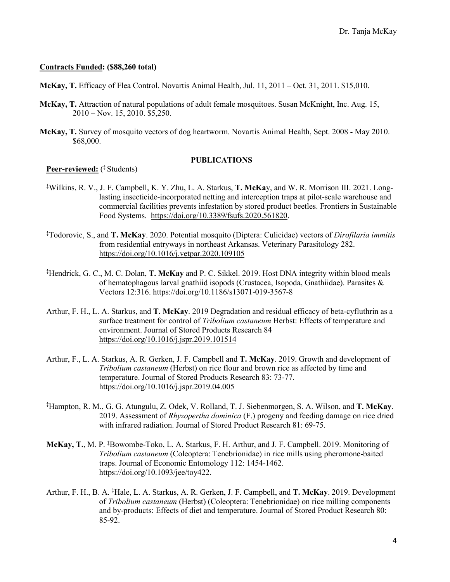## **Contracts Funded: (\$88,260 total)**

**McKay, T.** Efficacy of Flea Control. Novartis Animal Health, Jul. 11, 2011 – Oct. 31, 2011. \$15,010.

- **McKay, T.** Attraction of natural populations of adult female mosquitoes. Susan McKnight, Inc. Aug. 15, 2010 – Nov. 15, 2010. \$5,250.
- **McKay, T.** Survey of mosquito vectors of dog heartworm. Novartis Animal Health, Sept. 2008 May 2010. \$68,000.

## **PUBLICATIONS**

**Peer-reviewed:** ( ‡ Students)

- ‡ Wilkins, R. V., J. F. Campbell, K. Y. Zhu, L. A. Starkus, **T. McKa**y, and W. R. Morrison III. 2021. Longlasting insecticide-incorporated netting and interception traps at pilot-scale warehouse and commercial facilities prevents infestation by stored product beetles. Frontiers in Sustainable Food Systems. [https://doi.org/10.3389/fsufs.2020.561820.](https://doi.org/10.3389/fsufs.2020.561820)
- ‡ Todorovic, S., and **T. McKay**. 2020. Potential mosquito (Diptera: Culicidae) vectors of *Dirofilaria immitis*  from residential entryways in northeast Arkansas. Veterinary Parasitology 282. <https://doi.org/10.1016/j.vetpar.2020.109105>
- ‡ Hendrick, G. C., M. C. Dolan, **T. McKay** and P. C. Sikkel. 2019. Host DNA integrity within blood meals of hematophagous larval gnathiid isopods (Crustacea, Isopoda, Gnathiidae). Parasites & Vectors 12:316. https://doi.org/10.1186/s13071-019-3567-8
- Arthur, F. H., L. A. Starkus, and **T. McKay**. 2019 Degradation and residual efficacy of beta-cyfluthrin as a surface treatment for control of *Tribolium castaneum* Herbst: Effects of temperature and environment. Journal of Stored Products Research 84 <https://doi.org/10.1016/j.jspr.2019.101514>
- Arthur, F., L. A. Starkus, A. R. Gerken, J. F. Campbell and **T. McKay**. 2019. Growth and development of *Tribolium castaneum* (Herbst) on rice flour and brown rice as affected by time and temperature. Journal of Stored Products Research 83: 73-77. https://doi.org/10.1016/j.jspr.2019.04.005
- ‡ Hampton, R. M., G. G. Atungulu, Z. Odek, V. Rolland, T. J. Siebenmorgen, S. A. Wilson, and **T. McKay**. 2019. Assessment of *Rhyzopertha dominica* (F.) progeny and feeding damage on rice dried with infrared radiation. Journal of Stored Product Research 81: 69-75.
- **McKay, T.**, M. P. ‡ Bowombe-Toko, L. A. Starkus, F. H. Arthur, and J. F. Campbell. 2019. Monitoring of *Tribolium castaneum* (Coleoptera: Tenebrionidae) in rice mills using pheromone-baited traps. Journal of Economic Entomology 112: 1454-1462. https://doi.org/10.1093/jee/toy422.
- Arthur, F. H., B. A. ‡ Hale, L. A. Starkus, A. R. Gerken, J. F. Campbell, and **T. McKay**. 2019. Development of *Tribolium castaneum* (Herbst) (Coleoptera: Tenebrionidae) on rice milling components and by-products: Effects of diet and temperature. Journal of Stored Product Research 80: 85-92.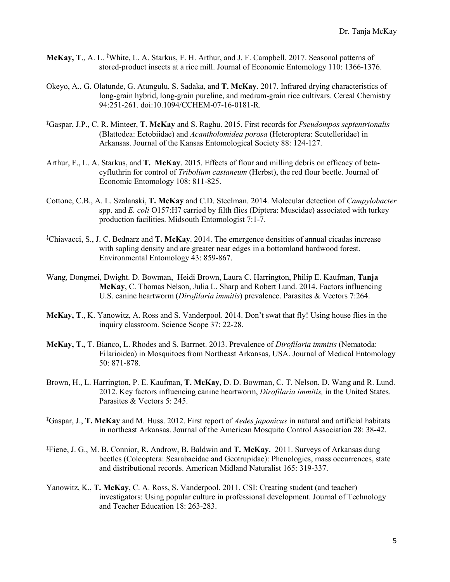- McKay, T., A. L. <sup>‡</sup>White, L. A. Starkus, F. H. Arthur, and J. F. Campbell. 2017. Seasonal patterns of stored-product insects at a rice mill. Journal of Economic Entomology 110: 1366-1376.
- Okeyo, A., G. Olatunde, G. Atungulu, S. Sadaka, and **T. McKay**. 2017. Infrared drying characteristics of long-grain hybrid, long-grain pureline, and medium-grain rice cultivars. Cereal Chemistry 94:251-261. doi:10.1094/CCHEM-07-16-0181-R.
- ‡ Gaspar, J.P., C. R. Minteer, **T. McKay** and S. Raghu. 2015. First records for *Pseudompos septentrionalis* (Blattodea: Ectobiidae) and *Acantholomidea porosa* (Heteroptera: Scutelleridae) in Arkansas. Journal of the Kansas Entomological Society 88: 124-127.
- Arthur, F., L. A. Starkus, and **T. McKay**. 2015. Effects of flour and milling debris on efficacy of betacyfluthrin for control of *Tribolium castaneum* (Herbst), the red flour beetle. Journal of Economic Entomology 108: 811-825.
- Cottone, C.B., A. L. Szalanski, **T. McKay** and C.D. Steelman. 2014. Molecular detection of *Campylobacter* spp. and *E. coli* O157:H7 carried by filth flies (Diptera: Muscidae) associated with turkey production facilities. Midsouth Entomologist 7:1-7.
- ‡ Chiavacci, S., J. C. Bednarz and **T. McKay**. 2014. The emergence densities of annual cicadas increase with sapling density and are greater near edges in a bottomland hardwood forest. Environmental Entomology 43: 859-867.
- Wang, Dongmei, Dwight. D. Bowman, Heidi Brown, Laura C. Harrington, Philip E. Kaufman, **Tanja McKay**, C. Thomas Nelson, Julia L. Sharp and Robert Lund. 2014. Factors influencing U.S. canine heartworm (*Dirofilaria immitis*) prevalence. Parasites & Vectors 7:264.
- **McKay, T**., K. Yanowitz, A. Ross and S. Vanderpool. 2014. Don't swat that fly! Using house flies in the inquiry classroom. Science Scope 37: 22-28.
- **McKay, T.,** T. Bianco, L. Rhodes and S. Barrnet. 2013. Prevalence of *Dirofilaria immitis* (Nematoda: Filarioidea) in Mosquitoes from Northeast Arkansas, USA. Journal of Medical Entomology 50: 871-878.
- Brown, H., L. Harrington, P. E. Kaufman, **T. McKay**, D. D. Bowman, C. T. Nelson, D. Wang and R. Lund. 2012. Key factors influencing canine heartworm, *Dirofilaria immitis,* in the United States. Parasites & Vectors 5: 245.
- ‡ Gaspar, J., **T. McKay** and M. Huss. 2012. First report of *Aedes japonicus* in natural and artificial habitats in northeast Arkansas. Journal of the American Mosquito Control Association 28: 38-42.
- ‡ Fiene, J. G., M. B. Connior, R. Androw, B. Baldwin and **T. McKay.** 2011. Surveys of Arkansas dung beetles (Coleoptera: Scarabaeidae and Geotrupidae): Phenologies, mass occurrences, state and distributional records. American Midland Naturalist 165: 319-337.
- Yanowitz, K., **T. McKay**, C. A. Ross, S. Vanderpool. 2011. CSI: Creating student (and teacher) investigators: Using popular culture in professional development. Journal of Technology and Teacher Education 18: 263-283.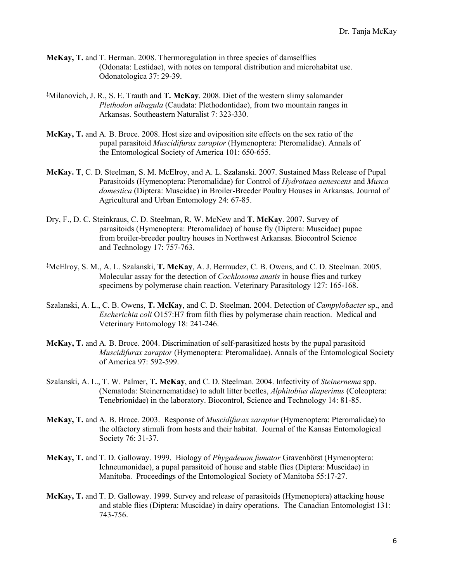- **McKay, T.** and T. Herman. 2008. Thermoregulation in three species of damselflies (Odonata: Lestidae), with notes on temporal distribution and microhabitat use. Odonatologica 37: 29-39.
- ‡ Milanovich, J. R., S. E. Trauth and **T. McKay**. 2008. Diet of the western slimy salamander *Plethodon albagula* (Caudata: Plethodontidae), from two mountain ranges in Arkansas. Southeastern Naturalist 7: 323-330.
- **McKay, T.** and A. B. Broce. 2008. Host size and oviposition site effects on the sex ratio of the pupal parasitoid *Muscidifurax zaraptor* (Hymenoptera: Pteromalidae). Annals of the Entomological Society of America 101: 650-655.
- **McKay. T**, C. D. Steelman, S. M. McElroy, and A. L. Szalanski. 2007. Sustained Mass Release of Pupal Parasitoids (Hymenoptera: Pteromalidae) for Control of *Hydrotaea aenescens* and *Musca domestica* (Diptera: Muscidae) in Broiler-Breeder Poultry Houses in Arkansas. Journal of Agricultural and Urban Entomology 24: 67-85.
- Dry, F., D. C. Steinkraus, C. D. Steelman, R. W. McNew and **T. McKay**. 2007. Survey of parasitoids (Hymenoptera: Pteromalidae) of house fly (Diptera: Muscidae) pupae from broiler-breeder poultry houses in Northwest Arkansas. Biocontrol Science and Technology 17: 757-763.
- ‡ McElroy, S. M., A. L. Szalanski, **T. McKay**, A. J. Bermudez, C. B. Owens, and C. D. Steelman. 2005. Molecular assay for the detection of *Cochlosoma anatis* in house flies and turkey specimens by polymerase chain reaction. Veterinary Parasitology 127: 165-168.
- Szalanski, A. L., C. B. Owens, **T. McKay**, and C. D. Steelman. 2004. Detection of *Campylobacter* sp., and *Escherichia coli* O157:H7 from filth flies by polymerase chain reaction. Medical and Veterinary Entomology 18: 241-246.
- **McKay, T.** and A. B. Broce. 2004. Discrimination of self-parasitized hosts by the pupal parasitoid *Muscidifurax zaraptor* (Hymenoptera: Pteromalidae). Annals of the Entomological Society of America 97: 592-599.
- Szalanski, A. L., T. W. Palmer, **T. McKay**, and C. D. Steelman. 2004. Infectivity of *Steinernema* spp. (Nematoda: Steinernematidae) to adult litter beetles, *Alphitobius diaperinus* (Coleoptera: Tenebrionidae) in the laboratory. Biocontrol, Science and Technology 14: 81-85.
- **McKay, T.** and A. B. Broce. 2003. Response of *Muscidifurax zaraptor* (Hymenoptera: Pteromalidae) to the olfactory stimuli from hosts and their habitat. Journal of the Kansas Entomological Society 76: 31-37.
- **McKay, T.** and T. D. Galloway. 1999. Biology of *Phygadeuon fumator* Gravenhörst (Hymenoptera: Ichneumonidae), a pupal parasitoid of house and stable flies (Diptera: Muscidae) in Manitoba. Proceedings of the Entomological Society of Manitoba 55:17-27.
- **McKay, T.** and T. D. Galloway. 1999. Survey and release of parasitoids (Hymenoptera) attacking house and stable flies (Diptera: Muscidae) in dairy operations. The Canadian Entomologist 131: 743-756.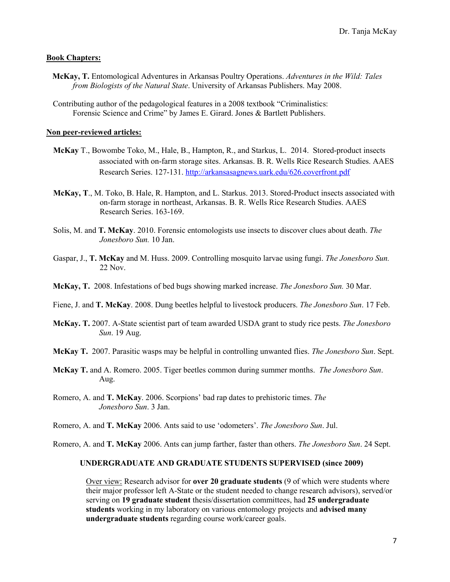#### **Book Chapters:**

- **McKay, T.** Entomological Adventures in Arkansas Poultry Operations. *Adventures in the Wild: Tales from Biologists of the Natural State*. University of Arkansas Publishers. May 2008.
- Contributing author of the pedagological features in a 2008 textbook "Criminalistics: Forensic Science and Crime" by James E. Girard. Jones & Bartlett Publishers.

#### **Non peer-reviewed articles:**

- **McKay** T., Bowombe Toko, M., Hale, B., Hampton, R., and Starkus, L. 2014. Stored-product insects associated with on-farm storage sites. Arkansas. B. R. Wells Rice Research Studies. AAES Research Series. 127-131.<http://arkansasagnews.uark.edu/626.coverfront.pdf>
- **McKay, T**., M. Toko, B. Hale, R. Hampton, and L. Starkus. 2013. Stored-Product insects associated with on-farm storage in northeast, Arkansas. B. R. Wells Rice Research Studies. AAES Research Series. 163-169.
- Solis, M. and **T. McKay**. 2010. Forensic entomologists use insects to discover clues about death. *The Jonesboro Sun.* 10 Jan.
- Gaspar, J., **T. McKay** and M. Huss. 2009. Controlling mosquito larvae using fungi. *The Jonesboro Sun.*  22 Nov.
- **McKay, T.** 2008. Infestations of bed bugs showing marked increase. *The Jonesboro Sun.* 30 Mar.
- Fiene, J. and **T. McKay**. 2008. Dung beetles helpful to livestock producers. *The Jonesboro Sun*. 17 Feb.
- **McKay. T.** 2007. A-State scientist part of team awarded USDA grant to study rice pests. *The Jonesboro Sun*. 19 Aug.
- **McKay T.** 2007. Parasitic wasps may be helpful in controlling unwanted flies. *The Jonesboro Sun*. Sept.
- **McKay T.** and A. Romero. 2005. Tiger beetles common during summer months. *The Jonesboro Sun*. Aug.
- Romero, A. and **T. McKay**. 2006. Scorpions' bad rap dates to prehistoric times. *The Jonesboro Sun*. 3 Jan.
- Romero, A. and **T. McKay** 2006. Ants said to use 'odometers'. *The Jonesboro Sun*. Jul.

Romero, A. and **T. McKay** 2006. Ants can jump farther, faster than others. *The Jonesboro Sun*. 24 Sept.

## **UNDERGRADUATE AND GRADUATE STUDENTS SUPERVISED (since 2009)**

Over view: Research advisor for **over 20 graduate students** (9 of which were students where their major professor left A-State or the student needed to change research advisors), served/or serving on **19 graduate student** thesis/dissertation committees, had **25 undergraduate students** working in my laboratory on various entomology projects and **advised many undergraduate students** regarding course work/career goals.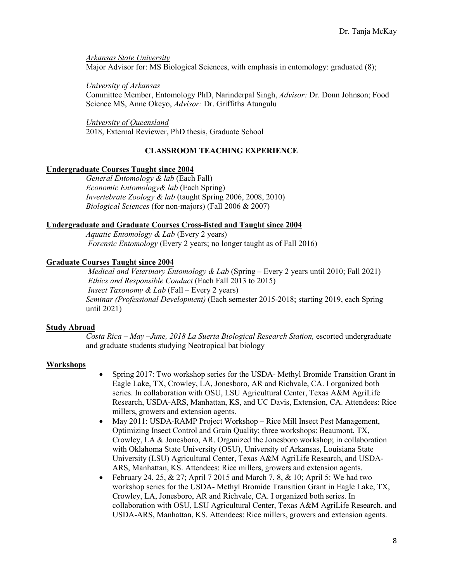*Arkansas State University* Major Advisor for: MS Biological Sciences, with emphasis in entomology: graduated (8);

## *University of Arkansas*

Committee Member, Entomology PhD, Narinderpal Singh, *Advisor:* Dr. Donn Johnson; Food Science MS, Anne Okeyo, *Advisor:* Dr. Griffiths Atungulu

## *University of Queensland*

2018, External Reviewer, PhD thesis, Graduate School

# **CLASSROOM TEACHING EXPERIENCE**

# **Undergraduate Courses Taught since 2004**

*General Entomology & lab* (Each Fall) *Economic Entomology& lab* (Each Spring) *Invertebrate Zoology & lab* (taught Spring 2006, 2008, 2010) *Biological Sciences* (for non-majors) (Fall 2006 & 2007)

# **Undergraduate and Graduate Courses Cross-listed and Taught since 2004**

*Aquatic Entomology & Lab* (Every 2 years) *Forensic Entomology* (Every 2 years; no longer taught as of Fall 2016)

# **Graduate Courses Taught since 2004**

*Medical and Veterinary Entomology & Lab* (Spring – Every 2 years until 2010; Fall 2021) *Ethics and Responsible Conduct* (Each Fall 2013 to 2015) *Insect Taxonomy & Lab* (Fall – Every 2 years) *Seminar (Professional Development)* (Each semester 2015-2018; starting 2019, each Spring until 2021)

# **Study Abroad**

*Costa Rica – May –June, 2018 La Suerta Biological Research Station,* escorted undergraduate and graduate students studying Neotropical bat biology

# **Workshops**

- Spring 2017: Two workshop series for the USDA- Methyl Bromide Transition Grant in Eagle Lake, TX, Crowley, LA, Jonesboro, AR and Richvale, CA. I organized both series. In collaboration with OSU, LSU Agricultural Center, Texas A&M AgriLife Research, USDA-ARS, Manhattan, KS, and UC Davis, Extension, CA. Attendees: Rice millers, growers and extension agents.
- May 2011: USDA-RAMP Project Workshop Rice Mill Insect Pest Management, Optimizing Insect Control and Grain Quality; three workshops: Beaumont, TX, Crowley, LA & Jonesboro, AR. Organized the Jonesboro workshop; in collaboration with Oklahoma State University (OSU), University of Arkansas, Louisiana State University (LSU) Agricultural Center, Texas A&M AgriLife Research, and USDA-ARS, Manhattan, KS. Attendees: Rice millers, growers and extension agents.
- February 24, 25, & 27; April 7 2015 and March 7, 8, & 10; April 5: We had two workshop series for the USDA- Methyl Bromide Transition Grant in Eagle Lake, TX, Crowley, LA, Jonesboro, AR and Richvale, CA. I organized both series. In collaboration with OSU, LSU Agricultural Center, Texas A&M AgriLife Research, and USDA-ARS, Manhattan, KS. Attendees: Rice millers, growers and extension agents.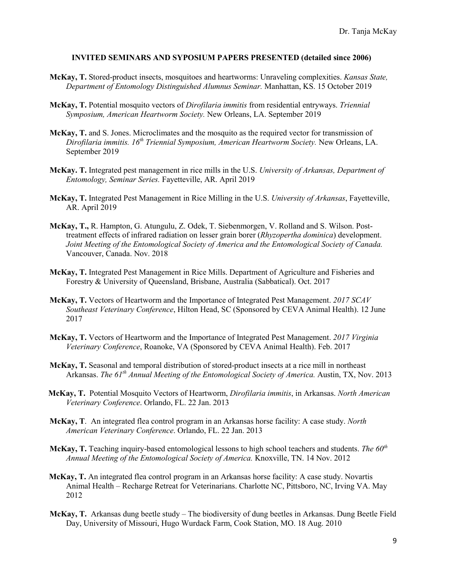### **INVITED SEMINARS AND SYPOSIUM PAPERS PRESENTED (detailed since 2006)**

- **McKay, T.** Stored-product insects, mosquitoes and heartworms: Unraveling complexities. *Kansas State, Department of Entomology Distinguished Alumnus Seminar.* Manhattan, KS. 15 October 2019
- **McKay, T.** Potential mosquito vectors of *Dirofilaria immitis* from residential entryways. *Triennial Symposium, American Heartworm Society.* New Orleans, LA. September 2019
- **McKay, T.** and S. Jones. Microclimates and the mosquito as the required vector for transmission of *Dirofilaria immitis. 16th Triennial Symposium, American Heartworm Society.* New Orleans, LA. September 2019
- **McKay. T.** Integrated pest management in rice mills in the U.S. *University of Arkansas, Department of Entomology, Seminar Series.* Fayetteville, AR. April 2019
- **McKay, T.** Integrated Pest Management in Rice Milling in the U.S. *University of Arkansas*, Fayetteville, AR. April 2019
- **McKay, T.,** R. Hampton, G. Atungulu, Z. Odek, T. Siebenmorgen, V. Rolland and S. Wilson. Posttreatment effects of infrared radiation on lesser grain borer (*Rhyzopertha dominica*) development. *Joint Meeting of the Entomological Society of America and the Entomological Society of Canada.* Vancouver, Canada. Nov. 2018
- **McKay, T.** Integrated Pest Management in Rice Mills. Department of Agriculture and Fisheries and Forestry & University of Queensland, Brisbane, Australia (Sabbatical). Oct. 2017
- **McKay, T.** Vectors of Heartworm and the Importance of Integrated Pest Management. *2017 SCAV Southeast Veterinary Conference*, Hilton Head, SC (Sponsored by CEVA Animal Health). 12 June 2017
- **McKay, T.** Vectors of Heartworm and the Importance of Integrated Pest Management. *2017 Virginia Veterinary Conference*, Roanoke, VA (Sponsored by CEVA Animal Health). Feb. 2017
- **McKay, T.** Seasonal and temporal distribution of stored-product insects at a rice mill in northeast Arkansas. *The 61th Annual Meeting of the Entomological Society of America.* Austin, TX, Nov. 2013
- **McKay, T.** Potential Mosquito Vectors of Heartworm, *Dirofilaria immitis*, in Arkansas. *North American Veterinary Conference*. Orlando, FL. 22 Jan. 2013
- **McKay, T**. An integrated flea control program in an Arkansas horse facility: A case study. *North American Veterinary Conference*. Orlando, FL. 22 Jan. 2013
- **McKay, T.** Teaching inquiry-based entomological lessons to high school teachers and students. *The 60th Annual Meeting of the Entomological Society of America.* Knoxville, TN. 14 Nov. 2012
- **McKay, T.** An integrated flea control program in an Arkansas horse facility: A case study. Novartis Animal Health – Recharge Retreat for Veterinarians. Charlotte NC, Pittsboro, NC, Irving VA. May 2012
- **McKay, T.** Arkansas dung beetle study The biodiversity of dung beetles in Arkansas. Dung Beetle Field Day, University of Missouri, Hugo Wurdack Farm, Cook Station, MO. 18 Aug. 2010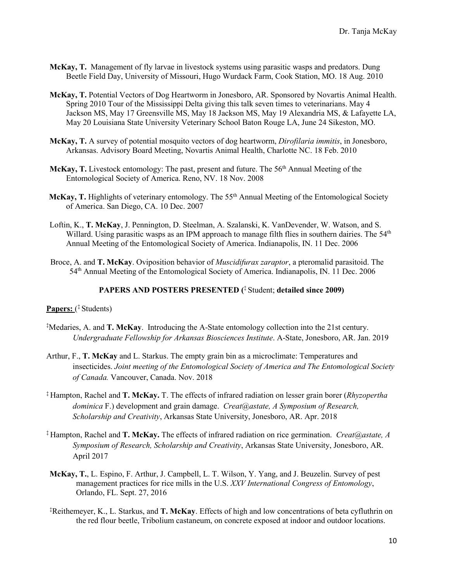- **McKay, T.** Management of fly larvae in livestock systems using parasitic wasps and predators. Dung Beetle Field Day, University of Missouri, Hugo Wurdack Farm, Cook Station, MO. 18 Aug. 2010
- **McKay, T.** Potential Vectors of Dog Heartworm in Jonesboro, AR. Sponsored by Novartis Animal Health. Spring 2010 Tour of the Mississippi Delta giving this talk seven times to veterinarians. May 4 Jackson MS, May 17 Greensville MS, May 18 Jackson MS, May 19 Alexandria MS, & Lafayette LA, May 20 Louisiana State University Veterinary School Baton Rouge LA, June 24 Sikeston, MO.
- **McKay, T.** A survey of potential mosquito vectors of dog heartworm, *Dirofilaria immitis*, in Jonesboro, Arkansas. Advisory Board Meeting, Novartis Animal Health, Charlotte NC. 18 Feb. 2010
- McKay, T. Livestock entomology: The past, present and future. The 56<sup>th</sup> Annual Meeting of the Entomological Society of America. Reno, NV. 18 Nov. 2008
- McKay, T. Highlights of veterinary entomology. The 55<sup>th</sup> Annual Meeting of the Entomological Society of America. San Diego, CA. 10 Dec. 2007
- Loftin, K., **T. McKay**, J. Pennington, D. Steelman, A. Szalanski, K. VanDevender, W. Watson, and S. Willard. Using parasitic wasps as an IPM approach to manage filth flies in southern dairies. The 54<sup>th</sup> Annual Meeting of the Entomological Society of America. Indianapolis, IN. 11 Dec. 2006
- Broce, A. and **T. McKay**. Oviposition behavior of *Muscidifurax zaraptor*, a pteromalid parasitoid. The 54th Annual Meeting of the Entomological Society of America. Indianapolis, IN. 11 Dec. 2006

## **PAPERS AND POSTERS PRESENTED (**‡ Student; **detailed since 2009)**

## **Papers:** ( ‡ Students)

- ‡ Medaries, A. and **T. McKay**. Introducing the A-State entomology collection into the 21st century. *Undergraduate Fellowship for Arkansas Biosciences Institute*. A-State, Jonesboro, AR. Jan. 2019
- Arthur, F., **T. McKay** and L. Starkus. The empty grain bin as a microclimate: Temperatures and insecticides. *Joint meeting of the Entomological Society of America and The Entomological Society of Canada.* Vancouver, Canada. Nov. 2018
- ‡ Hampton, Rachel and **T. McKay.** T. The effects of infrared radiation on lesser grain borer (*Rhyzopertha dominica* F.) development and grain damage. *Creat@astate, A Symposium of Research, Scholarship and Creativity*, Arkansas State University, Jonesboro, AR. Apr. 2018
- ‡ Hampton, Rachel and **T. McKay.** The effects of infrared radiation on rice germination. *Creat@astate, A Symposium of Research, Scholarship and Creativity*, Arkansas State University, Jonesboro, AR. April 2017
- **McKay, T.**, L. Espino, F. Arthur, J. Campbell, L. T. Wilson, Y. Yang, and J. Beuzelin. Survey of pest management practices for rice mills in the U.S. *XXV International Congress of Entomology*, Orlando, FL. Sept. 27, 2016
- ‡ Reithemeyer, K., L. Starkus, and **T. McKay**. Effects of high and low concentrations of beta cyfluthrin on the red flour beetle, Tribolium castaneum, on concrete exposed at indoor and outdoor locations.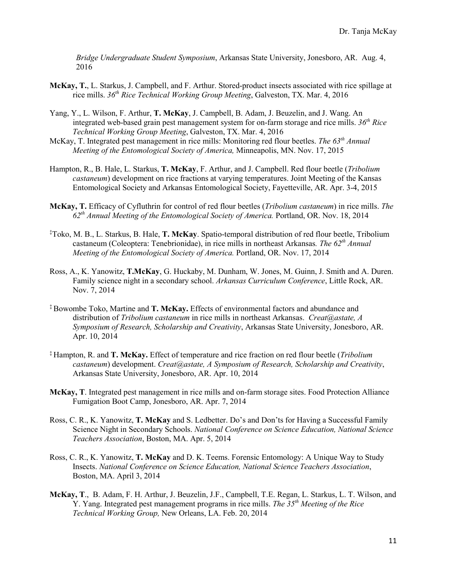*Bridge Undergraduate Student Symposium*, Arkansas State University, Jonesboro, AR. Aug. 4, 2016

- **McKay, T.**, L. Starkus, J. Campbell, and F. Arthur. Stored-product insects associated with rice spillage at rice mills. *36th Rice Technical Working Group Meeting*, Galveston, TX. Mar. 4, 2016
- Yang, Y., L. Wilson, F. Arthur, **T. McKay**, J. Campbell, B. Adam, J. Beuzelin, and J. Wang. An integrated web-based grain pest management system for on-farm storage and rice mills. *36th Rice Technical Working Group Meeting*, Galveston, TX. Mar. 4, 2016
- McKay, T. Integrated pest management in rice mills: Monitoring red flour beetles. *The 63th Annual Meeting of the Entomological Society of America,* Minneapolis, MN. Nov. 17, 2015
- Hampton, R., B. Hale, L. Starkus, **T. McKay**, F. Arthur, and J. Campbell. Red flour beetle (*Tribolium castaneum*) development on rice fractions at varying temperatures. Joint Meeting of the Kansas Entomological Society and Arkansas Entomological Society, Fayetteville, AR. Apr. 3-4, 2015
- **McKay, T.** Efficacy of Cyfluthrin for control of red flour beetles (*Tribolium castaneum*) in rice mills. *The 62th Annual Meeting of the Entomological Society of America.* Portland, OR. Nov. 18, 2014
- ‡ Toko, M. B., L. Starkus, B. Hale, **T. McKay**. Spatio-temporal distribution of red flour beetle, Tribolium castaneum (Coleoptera: Tenebrionidae), in rice mills in northeast Arkansas*. The 62th Annual Meeting of the Entomological Society of America.* Portland, OR. Nov. 17, 2014
- Ross, A., K. Yanowitz, **T.McKay**, G. Huckaby, M. Dunham, W. Jones, M. Guinn, J. Smith and A. Duren. Family science night in a secondary school. *Arkansas Curriculum Conference*, Little Rock, AR. Nov. 7, 2014
- ‡ Bowombe Toko, Martine and **T. McKay.** Effects of environmental factors and abundance and distribution of *Tribolium castaneum* in rice mills in northeast Arkansas. *Creat@astate, A Symposium of Research, Scholarship and Creativity*, Arkansas State University, Jonesboro, AR. Apr. 10, 2014
- ‡ Hampton, R. and **T. McKay.** Effect of temperature and rice fraction on red flour beetle (*Tribolium castaneum*) development. *Creat@astate, A Symposium of Research, Scholarship and Creativity*, Arkansas State University, Jonesboro, AR. Apr. 10, 2014
- **McKay, T**. Integrated pest management in rice mills and on-farm storage sites. Food Protection Alliance Fumigation Boot Camp, Jonesboro, AR. Apr. 7, 2014
- Ross, C. R., K. Yanowitz, **T. McKay** and S. Ledbetter. Do's and Don'ts for Having a Successful Family Science Night in Secondary Schools. *National Conference on Science Education, National Science Teachers Association*, Boston, MA. Apr. 5, 2014
- Ross, C. R., K. Yanowitz, **T. McKay** and D. K. Teems. Forensic Entomology: A Unique Way to Study Insects. *National Conference on Science Education, National Science Teachers Association*, Boston, MA. April 3, 2014
- **McKay, T**., B. Adam, F. H. Arthur, J. Beuzelin, J.F., Campbell, T.E. Regan, L. Starkus, L. T. Wilson, and Y. Yang. Integrated pest management programs in rice mills. *The 35th Meeting of the Rice Technical Working Group,* New Orleans, LA. Feb. 20, 2014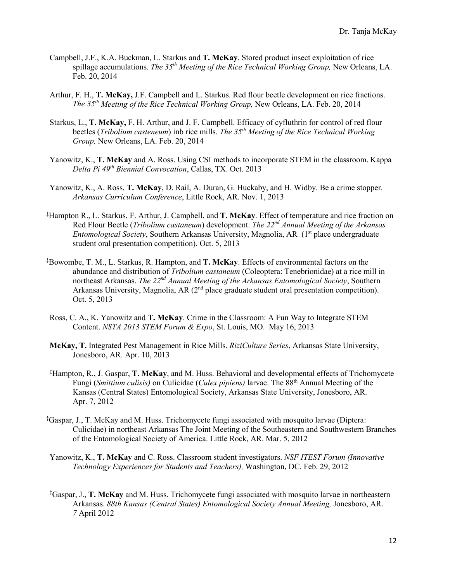- Campbell, J.F., K.A. Buckman, L. Starkus and **T. McKay**. Stored product insect exploitation of rice spillage accumulations. *The 35th Meeting of the Rice Technical Working Group,* New Orleans, LA. Feb. 20, 2014
- Arthur, F. H., **T. McKay,** J.F. Campbell and L. Starkus. Red flour beetle development on rice fractions. *The 35th Meeting of the Rice Technical Working Group,* New Orleans, LA. Feb. 20, 2014
- Starkus, L., **T. McKay,** F. H. Arthur, and J. F. Campbell. Efficacy of cyfluthrin for control of red flour beetles (*Tribolium casteneum*) inb rice mills. *The 35th Meeting of the Rice Technical Working Group,* New Orleans, LA. Feb. 20, 2014
- Yanowitz, K., **T. McKay** and A. Ross. Using CSI methods to incorporate STEM in the classroom. Kappa *Delta Pi 49th Biennial Convocation*, Callas, TX. Oct. 2013
- Yanowitz, K., A. Ross, **T. McKay**, D. Rail, A. Duran, G. Huckaby, and H. Widby. Be a crime stopper. *Arkansas Curriculum Conference*, Little Rock, AR. Nov. 1, 2013
- ‡ Hampton R., L. Starkus, F. Arthur, J. Campbell, and **T. McKay**. Effect of temperature and rice fraction on Red Flour Beetle (*Tribolium castaneum*) development. *The 22nd Annual Meeting of the Arkansas Entomological Society*, Southern Arkansas University, Magnolia, AR (1<sup>st</sup> place undergraduate student oral presentation competition). Oct. 5, 2013
- ‡ Bowombe, T. M., L. Starkus, R. Hampton, and **T. McKay**. Effects of environmental factors on the abundance and distribution of *Tribolium castaneum* (Coleoptera: Tenebrionidae) at a rice mill in northeast Arkansas. *The 22nd Annual Meeting of the Arkansas Entomological Society*, Southern Arkansas University, Magnolia, AR  $(2<sup>nd</sup>$  place graduate student oral presentation competition). Oct. 5, 2013
- Ross, C. A., K. Yanowitz and **T. McKay**. Crime in the Classroom: A Fun Way to Integrate STEM Content. *NSTA 2013 STEM Forum & Expo*, St. Louis, MO. May 16, 2013
- **McKay, T.** Integrated Pest Management in Rice Mills. *RiziCulture Series*, Arkansas State University, Jonesboro, AR. Apr. 10, 2013
- ‡ Hampton, R., J. Gaspar, **T. McKay**, and M. Huss. Behavioral and developmental effects of Trichomycete Fungi (*Smittium culisis)* on Culicidae (*Culex pipiens)* larvae. The 88th Annual Meeting of the Kansas (Central States) Entomological Society, Arkansas State University, Jonesboro, AR. Apr. 7, 2012
- ‡ Gaspar, J., T. McKay and M. Huss. Trichomycete fungi associated with mosquito larvae (Diptera: Culicidae) in northeast Arkansas The Joint Meeting of the Southeastern and Southwestern Branches of the Entomological Society of America. Little Rock, AR. Mar. 5, 2012
- Yanowitz, K., **T. McKay** and C. Ross. Classroom student investigators. *NSF ITEST Forum (Innovative Technology Experiences for Students and Teachers),* Washington, DC. Feb. 29, 2012
- ‡ Gaspar, J., **T. McKay** and M. Huss. Trichomycete fungi associated with mosquito larvae in northeastern Arkansas. *88th Kansas (Central States) Entomological Society Annual Meeting,* Jonesboro, AR. *7* April 2012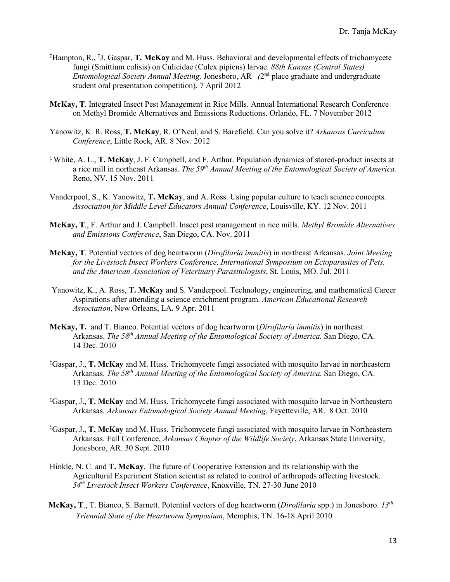- ‡ Hampton, R., ‡ J. Gaspar, **T. McKay** and M. Huss. Behavioral and developmental effects of trichomycete fungi (Smittium culisis) on Culicidae (Culex pipiens) larvae. *88th Kansas (Central States) Entomological Society Annual Meeting,* Jonesboro, AR *(*2nd place graduate and undergraduate student oral presentation competition). 7 April 2012
- **McKay, T**. Integrated Insect Pest Management in Rice Mills. Annual International Research Conference on Methyl Bromide Alternatives and Emissions Reductions. Orlando, FL. 7 November 2012
- Yanowitz, K. R. Ross, **T. McKay**, R. O'Neal, and S. Barefield. Can you solve it? *Arkansas Curriculum Conference*, Little Rock, AR. 8 Nov. 2012
- ‡ White, A. L., **T. McKay**, J. F. Campbell, and F. Arthur. Population dynamics of stored-product insects at a rice mill in northeast Arkansas. *The 59th Annual Meeting of the Entomological Society of America.*  Reno, NV. 15 Nov. 2011
- Vanderpool, S., K. Yanowitz, **T. McKay**, and A. Ross. Using popular culture to teach science concepts. *Association for Middle Level Educators Annual Conference*, Louisville, KY. 12 Nov. 2011
- **McKay, T**., F. Arthur and J. Campbell. Insect pest management in rice mills. *Methyl Bromide Alternatives and Emissions Conference*, San Diego, CA. Nov. 2011
- **McKay, T**. Potential vectors of dog heartworm (*Dirofilaria immitis*) in northeast Arkansas. *Joint Meeting for the Livestock Insect Workers Conference, International Symposium on Ectoparasites of Pets, and the American Association of Veterinary Parasitologists*, St. Louis, MO. Jul. 2011
- Yanowitz, K., A. Ross, **T. McKay** and S. Vanderpool. Technology, engineering, and mathematical Career Aspirations after attending a science enrichment program. *American Educational Research Association*, New Orleans, LA. 9 Apr. 2011
- **McKay, T.** and T. Bianco. Potential vectors of dog heartworm (*Dirofilaria immitis*) in northeast Arkansas. *The 58th Annual Meeting of the Entomological Society of America.* San Diego, CA. 14 Dec. 2010
- ‡ Gaspar, J., **T. McKay** and M. Huss. Trichomycete fungi associated with mosquito larvae in northeastern Arkansas. *The 58th Annual Meeting of the Entomological Society of America.* San Diego, CA. 13 Dec. 2010
- ‡ Gaspar, J., **T. McKay** and M. Huss. Trichomycete fungi associated with mosquito larvae in Northeastern Arkansas. *Arkansas Entomological Society Annual Meeting*, Fayetteville, AR. 8 Oct. 2010
- ‡ Gaspar, J., **T. McKay** and M. Huss. Trichomycete fungi associated with mosquito larvae in Northeastern Arkansas. Fall Conference, *Arkansas Chapter of the Wildlife Society*, Arkansas State University, Jonesboro, AR. 30 Sept. 2010
- Hinkle, N. C. and **T. McKay**. The future of Cooperative Extension and its relationship with the Agricultural Experiment Station scientist as related to control of arthropods affecting livestock. *54th Livestock Insect Workers Conference*, Knoxville, TN. 27-30 June 2010
- **McKay, T**., T. Bianco, S. Barnett. Potential vectors of dog heartworm (*Dirofilaria* spp.) in Jonesboro. *13th Triennial State of the Heartworm Symposium*, Memphis, TN. 16-18 April 2010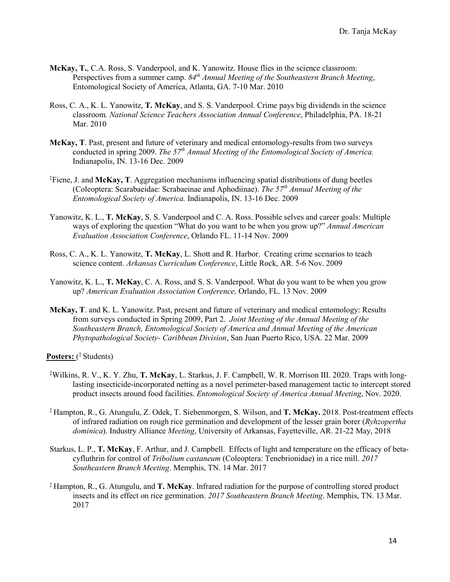- **McKay, T.**, C.A. Ross, S. Vanderpool, and K. Yanowitz. House flies in the science classroom: Perspectives from a summer camp. 84<sup>th</sup> Annual Meeting of the Southeastern Branch Meeting, Entomological Society of America, Atlanta, GA. 7-10 Mar. 2010
- Ross, C. A., K. L. Yanowitz, **T. McKay**, and S. S. Vanderpool. Crime pays big dividends in the science classroom*. National Science Teachers Association Annual Conference*, Philadelphia, PA. 18-21 Mar. 2010
- **McKay, T**. Past, present and future of veterinary and medical entomology-results from two surveys conducted in spring 2009. *The 57th Annual Meeting of the Entomological Society of America.*  Indianapolis, IN. 13-16 Dec. 2009
- ‡ Fiene, J. and **McKay, T**. Aggregation mechanisms influencing spatial distributions of dung beetles (Coleoptera: Scarabaeidae: Scrabaeinae and Aphodiinae). *The 57th Annual Meeting of the Entomological Society of America.* Indianapolis, IN. 13-16 Dec. 2009
- Yanowitz, K. L., **T. McKay**, S. S. Vanderpool and C. A. Ross. Possible selves and career goals: Multiple ways of exploring the question "What do you want to be when you grow up?" *Annual American Evaluation Association Conference*, Orlando FL. 11-14 Nov. 2009
- Ross, C. A., K. L. Yanowitz, **T. McKay**, L. Shott and R. Harbor. Creating crime scenarios to teach science content. *Arkansas Curriculum Conference*, Little Rock, AR. 5-6 Nov. 2009
- Yanowitz, K. L., **T. McKay**, C. A. Ross, and S. S. Vanderpool. What do you want to be when you grow up? *American Evaluation Association Conference,* Orlando, FL. 13 Nov. 2009
- **McKay, T**. and K. L. Yanowitz. Past, present and future of veterinary and medical entomology: Results from surveys conducted in Spring 2009, Part 2. *Joint Meeting of the Annual Meeting of the Southeastern Branch, Entomological Society of America and Annual Meeting of the American Phytopathological Society- Caribbean Division*, San Juan Puerto Rico, USA. 22 Mar. 2009

**Posters:** ( ‡ Students)

- ‡ Wilkins, R. V., K. Y. Zhu, **T. McKay**, L. Starkus, J. F. Campbell, W. R. Morrison III. 2020. Traps with longlasting insecticide-incorporated netting as a novel perimeter-based management tactic to intercept stored product insects around food facilities. *Entomological Society of America Annual Meeting*, Nov. 2020.
- ‡ Hampton, R., G. Atungulu, Z. Odek, T. Siebenmorgen, S. Wilson, and **T. McKay.** 2018. Post-treatment effects of infrared radiation on rough rice germination and development of the lesser grain borer (*Ryhzopertha dominica*). Industry Alliance *Meeting*, University of Arkansas, Fayetteville, AR. 21-22 May, 2018
- Starkus, L. P., **T. McKay**, F. Arthur, and J. Campbell. Effects of light and temperature on the efficacy of betacyfluthrin for control of *Tribolium castaneum* (Coleoptera: Tenebrionidae) in a rice mill. *2017 Southeastern Branch Meeting*. Memphis, TN. 14 Mar. 2017
- ‡ Hampton, R., G. Atungulu, and **T. McKay**. Infrared radiation for the purpose of controlling stored product insects and its effect on rice germination. *2017 Southeastern Branch Meeting*. Memphis, TN. 13 Mar. 2017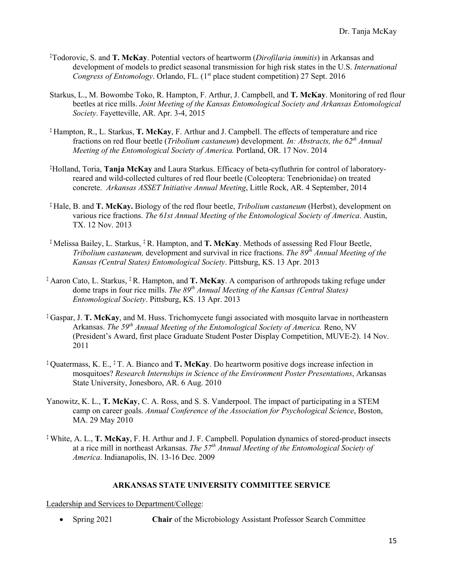- ‡ Todorovic, S. and **T. McKay**. Potential vectors of heartworm (*Dirofilaria immitis*) in Arkansas and development of models to predict seasonal transmission for high risk states in the U.S. *International Congress of Entomology*. Orlando, FL. (1<sup>st</sup> place student competition) 27 Sept. 2016
- Starkus, L., M. Bowombe Toko, R. Hampton, F. Arthur, J. Campbell, and **T. McKay**. Monitoring of red flour beetles at rice mills. *Joint Meeting of the Kansas Entomological Society and Arkansas Entomological Society*. Fayetteville, AR. Apr. 3-4, 2015
- ‡ Hampton, R., L. Starkus, **T. McKay**, F. Arthur and J. Campbell. The effects of temperature and rice fractions on red flour beetle (*Tribolium castaneum*) development*. In: Abstracts, the 62th Annual Meeting of the Entomological Society of America.* Portland, OR. 17 Nov. 2014
- ‡ Holland, Toria, **Tanja McKay** and Laura Starkus. Efficacy of beta-cyfluthrin for control of laboratoryreared and wild-collected cultures of red flour beetle (Coleoptera: Tenebrionidae) on treated concrete. *Arkansas ASSET Initiative Annual Meeting*, Little Rock, AR. 4 September, 2014
- ‡ Hale, B. and **T. McKay.** Biology of the red flour beetle, *Tribolium castaneum* (Herbst), development on various rice fractions. *The 61st Annual Meeting of the Entomological Society of America*. Austin, TX. 12 Nov. 2013
- ‡ Melissa Bailey, L. Starkus, ‡R. Hampton, and **T. McKay**. Methods of assessing Red Flour Beetle, *Tribolium castaneum,* development and survival in rice fractions. *The 89th Annual Meeting of the Kansas (Central States) Entomological Society*. Pittsburg, KS. 13 Apr. 2013
- ‡ Aaron Cato, L. Starkus, ‡R. Hampton, and **T. McKay**. A comparison of arthropods taking refuge under dome traps in four rice mills. *The 89th Annual Meeting of the Kansas (Central States) Entomological Society*. Pittsburg, KS. 13 Apr. 2013
- ‡ Gaspar, J. **T. McKay**, and M. Huss. Trichomycete fungi associated with mosquito larvae in northeastern Arkansas. *The 59th Annual Meeting of the Entomological Society of America.* Reno, NV (President's Award, first place Graduate Student Poster Display Competition, MUVE-2). 14 Nov. 2011
- ‡ Quatermass, K. E., ‡T. A. Bianco and **T. McKay**. Do heartworm positive dogs increase infection in mosquitoes? *Research Internships in Science of the Environment Poster Presentations*, Arkansas State University, Jonesboro, AR. 6 Aug. 2010
- Yanowitz, K. L., **T. McKay**, C. A. Ross, and S. S. Vanderpool. The impact of participating in a STEM camp on career goals. *Annual Conference of the Association for Psychological Science*, Boston, MA. 29 May 2010
- ‡ White, A. L., **T. McKay**, F. H. Arthur and J. F. Campbell. Population dynamics of stored-product insects at a rice mill in northeast Arkansas. *The 57th Annual Meeting of the Entomological Society of America*. Indianapolis, IN. 13-16 Dec. 2009

# **ARKANSAS STATE UNIVERSITY COMMITTEE SERVICE**

Leadership and Services to Department/College:

• Spring 2021 **Chair** of the Microbiology Assistant Professor Search Committee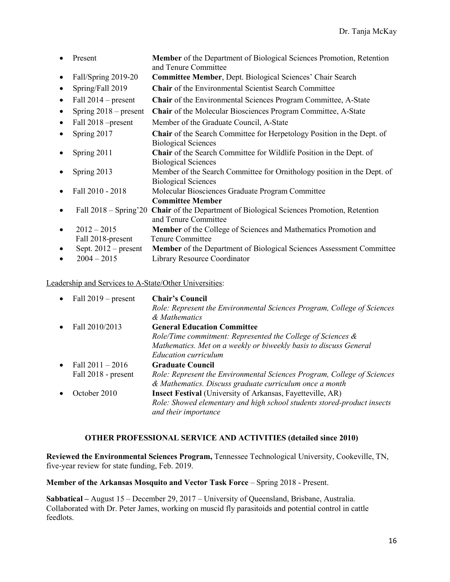|           | Present                 | Member of the Department of Biological Sciences Promotion, Retention<br>and Tenure Committee                |
|-----------|-------------------------|-------------------------------------------------------------------------------------------------------------|
| ٠         | Fall/Spring 2019-20     | <b>Committee Member, Dept. Biological Sciences' Chair Search</b>                                            |
| ٠         | Spring/Fall 2019        | <b>Chair</b> of the Environmental Scientist Search Committee                                                |
| $\bullet$ | Fall $2014$ – present   | Chair of the Environmental Sciences Program Committee, A-State                                              |
| $\bullet$ | Spring $2018$ – present | <b>Chair</b> of the Molecular Biosciences Program Committee, A-State                                        |
| $\bullet$ | Fall 2018 – present     | Member of the Graduate Council, A-State                                                                     |
| $\bullet$ | Spring 2017             | <b>Chair</b> of the Search Committee for Herpetology Position in the Dept. of<br><b>Biological Sciences</b> |
| ٠         | Spring 2011             | Chair of the Search Committee for Wildlife Position in the Dept. of<br><b>Biological Sciences</b>           |
| $\bullet$ | Spring 2013             | Member of the Search Committee for Ornithology position in the Dept. of<br><b>Biological Sciences</b>       |
| $\bullet$ | Fall 2010 - 2018        | Molecular Biosciences Graduate Program Committee                                                            |
|           |                         | <b>Committee Member</b>                                                                                     |
| $\bullet$ | Fall $2018 -$ Spring'20 | <b>Chair</b> of the Department of Biological Sciences Promotion, Retention<br>and Tenure Committee          |
| $\bullet$ | $2012 - 2015$           | Member of the College of Sciences and Mathematics Promotion and                                             |
|           | Fall 2018-present       | Tenure Committee                                                                                            |
| $\bullet$ | Sept. $2012$ – present  | Member of the Department of Biological Sciences Assessment Committee                                        |
| $\bullet$ | $2004 - 2015$           | Library Resource Coordinator                                                                                |

# Leadership and Services to A-State/Other Universities:

|           | • Fall $2019$ – present | <b>Chair's Council</b>                                                  |
|-----------|-------------------------|-------------------------------------------------------------------------|
|           |                         | Role: Represent the Environmental Sciences Program, College of Sciences |
|           |                         | & Mathematics                                                           |
| $\bullet$ | Fall 2010/2013          | <b>General Education Committee</b>                                      |
|           |                         | Role/Time commitment: Represented the College of Sciences $\&$          |
|           |                         | Mathematics. Met on a weekly or biweekly basis to discuss General       |
|           |                         | <b>Education curriculum</b>                                             |
| $\bullet$ | Fall $2011 - 2016$      | <b>Graduate Council</b>                                                 |
|           | Fall 2018 - present     | Role: Represent the Environmental Sciences Program, College of Sciences |
|           |                         | & Mathematics. Discuss graduate curriculum once a month                 |
| $\bullet$ | October 2010            | <b>Insect Festival</b> (University of Arkansas, Fayetteville, AR)       |
|           |                         | Role: Showed elementary and high school students stored-product insects |
|           |                         | and their importance                                                    |

# **OTHER PROFESSIONAL SERVICE AND ACTIVITIES (detailed since 2010)**

**Reviewed the Environmental Sciences Program,** Tennessee Technological University, Cookeville, TN, five-year review for state funding, Feb. 2019.

**Member of the Arkansas Mosquito and Vector Task Force** – Spring 2018 - Present.

**Sabbatical –** August 15 – December 29, 2017 – University of Queensland, Brisbane, Australia. Collaborated with Dr. Peter James, working on muscid fly parasitoids and potential control in cattle feedlots.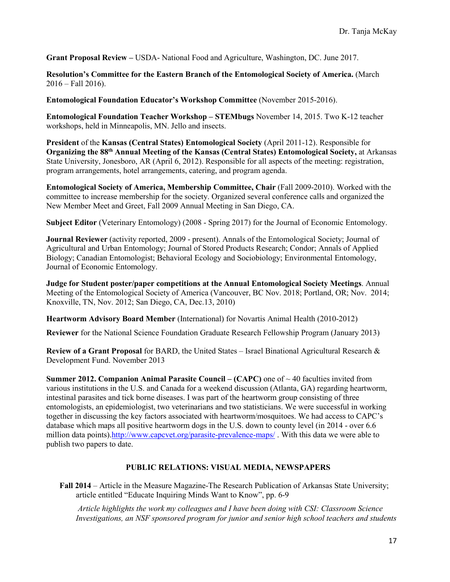**Grant Proposal Review –** USDA- National Food and Agriculture, Washington, DC. June 2017.

**Resolution's Committee for the Eastern Branch of the Entomological Society of America.** (March  $2016 -$ Fall 2016).

**Entomological Foundation Educator's Workshop Committee** (November 2015-2016).

**Entomological Foundation Teacher Workshop – STEMbugs** November 14, 2015. Two K-12 teacher workshops, held in Minneapolis, MN. Jello and insects.

**President** of the **Kansas (Central States) Entomological Society** (April 2011-12). Responsible for **Organizing the 88th Annual Meeting of the Kansas (Central States) Entomological Society,** at Arkansas State University, Jonesboro, AR (April 6, 2012). Responsible for all aspects of the meeting: registration, program arrangements, hotel arrangements, catering, and program agenda.

**Entomological Society of America, Membership Committee, Chair** (Fall 2009-2010). Worked with the committee to increase membership for the society. Organized several conference calls and organized the New Member Meet and Greet, Fall 2009 Annual Meeting in San Diego, CA.

**Subject Editor** (Veterinary Entomology) (2008 - Spring 2017) for the Journal of Economic Entomology.

**Journal Reviewer** (activity reported, 2009 - present). Annals of the Entomological Society; Journal of Agricultural and Urban Entomology; Journal of Stored Products Research; Condor; Annals of Applied Biology; Canadian Entomologist; Behavioral Ecology and Sociobiology; Environmental Entomology, Journal of Economic Entomology.

**Judge for Student poster/paper competitions at the Annual Entomological Society Meetings**. Annual Meeting of the Entomological Society of America (Vancouver, BC Nov. 2018; Portland, OR; Nov. 2014; Knoxville, TN, Nov. 2012; San Diego, CA, Dec.13, 2010)

**Heartworm Advisory Board Member** (International) for Novartis Animal Health (2010-2012)

**Reviewer** for the National Science Foundation Graduate Research Fellowship Program (January 2013)

**Review of a Grant Proposal** for BARD, the United States – Israel Binational Agricultural Research & Development Fund. November 2013

**Summer 2012. Companion Animal Parasite Council – (CAPC)** one of ~ 40 faculties invited from various institutions in the U.S. and Canada for a weekend discussion (Atlanta, GA) regarding heartworm, intestinal parasites and tick borne diseases. I was part of the heartworm group consisting of three entomologists, an epidemiologist, two veterinarians and two statisticians. We were successful in working together in discussing the key factors associated with heartworm/mosquitoes. We had access to CAPC's database which maps all positive heartworm dogs in the U.S. down to county level (in 2014 - over 6.6 million data points)[.http://www.capcvet.org/parasite-prevalence-maps/](http://www.capcvet.org/parasite-prevalence-maps/). With this data we were able to publish two papers to date.

# **PUBLIC RELATIONS: VISUAL MEDIA, NEWSPAPERS**

**Fall 2014** – Article in the Measure Magazine-The Research Publication of Arkansas State University; article entitled "Educate Inquiring Minds Want to Know", pp. 6-9

*Article highlights the work my colleagues and I have been doing with CSI: Classroom Science Investigations, an NSF sponsored program for junior and senior high school teachers and students*